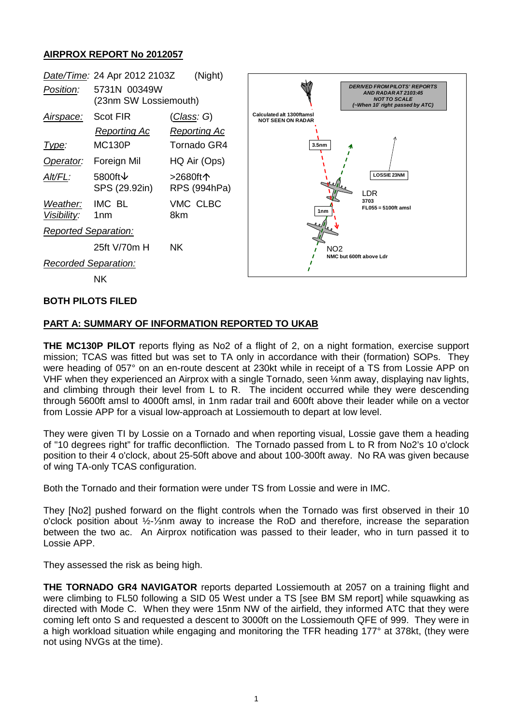## **AIRPROX REPORT No 2012057**



#### **BOTH PILOTS FILED**

### **PART A: SUMMARY OF INFORMATION REPORTED TO UKAB**

**THE MC130P PILOT** reports flying as No2 of a flight of 2, on a night formation, exercise support mission; TCAS was fitted but was set to TA only in accordance with their (formation) SOPs. They were heading of 057° on an en-route descent at 230kt while in receipt of a TS from Lossie APP on VHF when they experienced an Airprox with a single Tornado, seen ¼nm away, displaying nav lights, and climbing through their level from L to R. The incident occurred while they were descending through 5600ft amsl to 4000ft amsl, in 1nm radar trail and 600ft above their leader while on a vector from Lossie APP for a visual low-approach at Lossiemouth to depart at low level.

They were given TI by Lossie on a Tornado and when reporting visual, Lossie gave them a heading of "10 degrees right" for traffic deconfliction. The Tornado passed from L to R from No2's 10 o'clock position to their 4 o'clock, about 25-50ft above and about 100-300ft away. No RA was given because of wing TA-only TCAS configuration.

Both the Tornado and their formation were under TS from Lossie and were in IMC.

They [No2] pushed forward on the flight controls when the Tornado was first observed in their 10 o'clock position about ½-⅓nm away to increase the RoD and therefore, increase the separation between the two ac. An Airprox notification was passed to their leader, who in turn passed it to Lossie APP.

They assessed the risk as being high.

**THE TORNADO GR4 NAVIGATOR** reports departed Lossiemouth at 2057 on a training flight and were climbing to FL50 following a SID 05 West under a TS [see BM SM report] while squawking as directed with Mode C. When they were 15nm NW of the airfield, they informed ATC that they were coming left onto S and requested a descent to 3000ft on the Lossiemouth QFE of 999. They were in a high workload situation while engaging and monitoring the TFR heading 177° at 378kt, (they were not using NVGs at the time).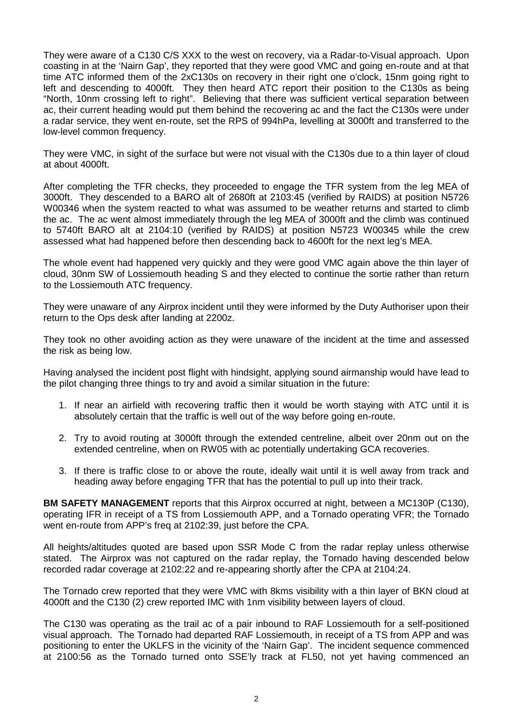They were aware of a C130 C/S XXX to the west on recovery, via a Radar-to-Visual approach. Upon coasting in at the 'Nairn Gap', they reported that they were good VMC and going en-route and at that time ATC informed them of the 2xC130s on recovery in their right one o'clock, 15nm going right to left and descending to 4000ft. They then heard ATC report their position to the C130s as being "North, 10nm crossing left to right". Believing that there was sufficient vertical separation between ac, their current heading would put them behind the recovering ac and the fact the C130s were under a radar service, they went en-route, set the RPS of 994hPa, levelling at 3000ft and transferred to the low-level common frequency.

They were VMC, in sight of the surface but were not visual with the C130s due to a thin layer of cloud at about 4000ft.

After completing the TFR checks, they proceeded to engage the TFR system from the leg MEA of 3000ft. They descended to a BARO alt of 2680ft at 2103:45 (verified by RAIDS) at position N5726 W00346 when the system reacted to what was assumed to be weather returns and started to climb the ac. The ac went almost immediately through the leg MEA of 3000ft and the climb was continued to 5740ft BARO alt at 2104:10 (verified by RAIDS) at position N5723 W00345 while the crew assessed what had happened before then descending back to 4600ft for the next leg's MEA.

The whole event had happened very quickly and they were good VMC again above the thin layer of cloud, 30nm SW of Lossiemouth heading S and they elected to continue the sortie rather than return to the Lossiemouth ATC frequency.

They were unaware of any Airprox incident until they were informed by the Duty Authoriser upon their return to the Ops desk after landing at 2200z.

They took no other avoiding action as they were unaware of the incident at the time and assessed the risk as being low.

Having analysed the incident post flight with hindsight, applying sound airmanship would have lead to the pilot changing three things to try and avoid a similar situation in the future:

- 1. If near an airfield with recovering traffic then it would be worth staying with ATC until it is absolutely certain that the traffic is well out of the way before going en-route.
- 2. Try to avoid routing at 3000ft through the extended centreline, albeit over 20nm out on the extended centreline, when on RW05 with ac potentially undertaking GCA recoveries.
- 3. If there is traffic close to or above the route, ideally wait until it is well away from track and heading away before engaging TFR that has the potential to pull up into their track.

**BM SAFETY MANAGEMENT** reports that this Airprox occurred at night, between a MC130P (C130), operating IFR in receipt of a TS from Lossiemouth APP, and a Tornado operating VFR; the Tornado went en-route from APP's freq at 2102:39, just before the CPA.

All heights/altitudes quoted are based upon SSR Mode C from the radar replay unless otherwise stated. The Airprox was not captured on the radar replay, the Tornado having descended below recorded radar coverage at 2102:22 and re-appearing shortly after the CPA at 2104:24.

The Tornado crew reported that they were VMC with 8kms visibility with a thin layer of BKN cloud at 4000ft and the C130 (2) crew reported IMC with 1nm visibility between layers of cloud.

The C130 was operating as the trail ac of a pair inbound to RAF Lossiemouth for a self-positioned visual approach. The Tornado had departed RAF Lossiemouth, in receipt of a TS from APP and was positioning to enter the UKLFS in the vicinity of the 'Nairn Gap'. The incident sequence commenced at 2100:56 as the Tornado turned onto SSE'ly track at FL50, not yet having commenced an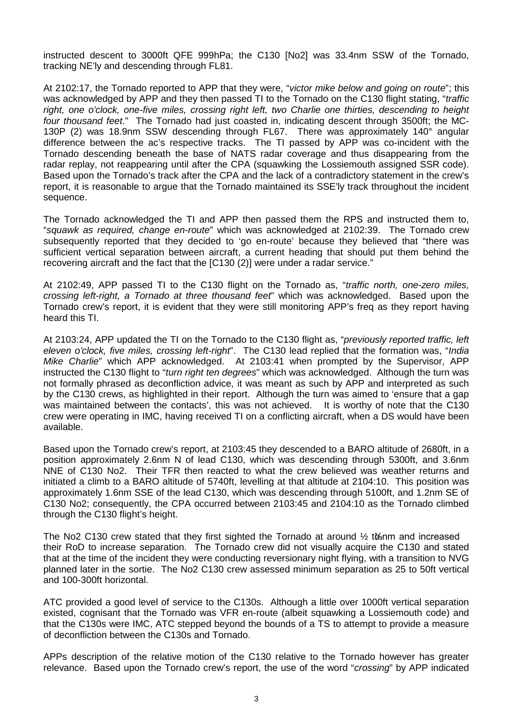instructed descent to 3000ft QFE 999hPa; the C130 [No2] was 33.4nm SSW of the Tornado, tracking NE'ly and descending through FL81.

At 2102:17, the Tornado reported to APP that they were, "*victor mike below and going on route*"; this was acknowledged by APP and they then passed TI to the Tornado on the C130 flight stating, "*traffic right, one o'clock, one-five miles, crossing right left, two Charlie one thirties, descending to height four thousand feet*." The Tornado had just coasted in, indicating descent through 3500ft; the MC-130P (2) was 18.9nm SSW descending through FL67. There was approximately 140° angular difference between the ac's respective tracks. The TI passed by APP was co-incident with the Tornado descending beneath the base of NATS radar coverage and thus disappearing from the radar replay, not reappearing until after the CPA (squawking the Lossiemouth assigned SSR code). Based upon the Tornado's track after the CPA and the lack of a contradictory statement in the crew's report, it is reasonable to argue that the Tornado maintained its SSE'ly track throughout the incident sequence.

The Tornado acknowledged the TI and APP then passed them the RPS and instructed them to, "*squawk as required, change en-route*" which was acknowledged at 2102:39. The Tornado crew subsequently reported that they decided to 'go en-route' because they believed that "there was sufficient vertical separation between aircraft, a current heading that should put them behind the recovering aircraft and the fact that the [C130 (2)] were under a radar service."

At 2102:49, APP passed TI to the C130 flight on the Tornado as, "*traffic north, one-zero miles, crossing left-right, a Tornado at three thousand feet*" which was acknowledged. Based upon the Tornado crew's report, it is evident that they were still monitoring APP's freq as they report having heard this TI.

At 2103:24, APP updated the TI on the Tornado to the C130 flight as, "*previously reported traffic, left eleven o'clock, five miles, crossing left-right*". The C130 lead replied that the formation was, "*India Mike Charlie*" which APP acknowledged. At 2103:41 when prompted by the Supervisor, APP instructed the C130 flight to "*turn right ten degrees*" which was acknowledged. Although the turn was not formally phrased as deconfliction advice, it was meant as such by APP and interpreted as such by the C130 crews, as highlighted in their report. Although the turn was aimed to 'ensure that a gap was maintained between the contacts', this was not achieved. It is worthy of note that the C130 crew were operating in IMC, having received TI on a conflicting aircraft, when a DS would have been available.

Based upon the Tornado crew's report, at 2103:45 they descended to a BARO altitude of 2680ft, in a position approximately 2.6nm N of lead C130, which was descending through 5300ft, and 3.6nm NNE of C130 No2. Their TFR then reacted to what the crew believed was weather returns and initiated a climb to a BARO altitude of 5740ft, levelling at that altitude at 2104:10. This position was approximately 1.6nm SSE of the lead C130, which was descending through 5100ft, and 1.2nm SE of C130 No2; consequently, the CPA occurred between 2103:45 and 2104:10 as the Tornado climbed through the C130 flight's height.

The No2 C130 crew stated that they first sighted the Tornado at around ½ t&nm and increased their RoD to increase separation. The Tornado crew did not visually acquire the C130 and stated that at the time of the incident they were conducting reversionary night flying, with a transition to NVG planned later in the sortie. The No2 C130 crew assessed minimum separation as 25 to 50ft vertical and 100-300ft horizontal.

ATC provided a good level of service to the C130s. Although a little over 1000ft vertical separation existed, cognisant that the Tornado was VFR en-route (albeit squawking a Lossiemouth code) and that the C130s were IMC, ATC stepped beyond the bounds of a TS to attempt to provide a measure of deconfliction between the C130s and Tornado.

APPs description of the relative motion of the C130 relative to the Tornado however has greater relevance. Based upon the Tornado crew's report, the use of the word "*crossing*" by APP indicated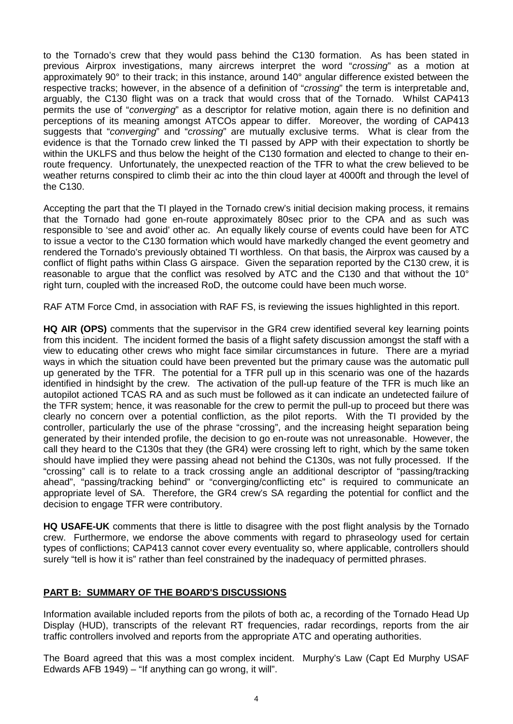to the Tornado's crew that they would pass behind the C130 formation. As has been stated in previous Airprox investigations, many aircrews interpret the word "*crossing*" as a motion at approximately 90° to their track; in this instance, around 140° angular difference existed between the respective tracks; however, in the absence of a definition of "*crossing*" the term is interpretable and, arguably, the C130 flight was on a track that would cross that of the Tornado. Whilst CAP413 permits the use of "*converging*" as a descriptor for relative motion, again there is no definition and perceptions of its meaning amongst ATCOs appear to differ. Moreover, the wording of CAP413 suggests that "*converging*" and "*crossing*" are mutually exclusive terms. What is clear from the evidence is that the Tornado crew linked the TI passed by APP with their expectation to shortly be within the UKLFS and thus below the height of the C130 formation and elected to change to their enroute frequency. Unfortunately, the unexpected reaction of the TFR to what the crew believed to be weather returns conspired to climb their ac into the thin cloud layer at 4000ft and through the level of the C130.

Accepting the part that the TI played in the Tornado crew's initial decision making process, it remains that the Tornado had gone en-route approximately 80sec prior to the CPA and as such was responsible to 'see and avoid' other ac. An equally likely course of events could have been for ATC to issue a vector to the C130 formation which would have markedly changed the event geometry and rendered the Tornado's previously obtained TI worthless. On that basis, the Airprox was caused by a conflict of flight paths within Class G airspace. Given the separation reported by the C130 crew, it is reasonable to argue that the conflict was resolved by ATC and the C130 and that without the 10° right turn, coupled with the increased RoD, the outcome could have been much worse.

RAF ATM Force Cmd, in association with RAF FS, is reviewing the issues highlighted in this report.

**HQ AIR (OPS)** comments that the supervisor in the GR4 crew identified several key learning points from this incident. The incident formed the basis of a flight safety discussion amongst the staff with a view to educating other crews who might face similar circumstances in future. There are a myriad ways in which the situation could have been prevented but the primary cause was the automatic pull up generated by the TFR. The potential for a TFR pull up in this scenario was one of the hazards identified in hindsight by the crew. The activation of the pull-up feature of the TFR is much like an autopilot actioned TCAS RA and as such must be followed as it can indicate an undetected failure of the TFR system; hence, it was reasonable for the crew to permit the pull-up to proceed but there was clearly no concern over a potential confliction, as the pilot reports. With the TI provided by the controller, particularly the use of the phrase "crossing", and the increasing height separation being generated by their intended profile, the decision to go en-route was not unreasonable. However, the call they heard to the C130s that they (the GR4) were crossing left to right, which by the same token should have implied they were passing ahead not behind the C130s, was not fully processed. If the "crossing" call is to relate to a track crossing angle an additional descriptor of "passing/tracking ahead", "passing/tracking behind" or "converging/conflicting etc" is required to communicate an appropriate level of SA. Therefore, the GR4 crew's SA regarding the potential for conflict and the decision to engage TFR were contributory.

**HQ USAFE-UK** comments that there is little to disagree with the post flight analysis by the Tornado crew. Furthermore, we endorse the above comments with regard to phraseology used for certain types of conflictions; CAP413 cannot cover every eventuality so, where applicable, controllers should surely "tell is how it is" rather than feel constrained by the inadequacy of permitted phrases.

# **PART B: SUMMARY OF THE BOARD'S DISCUSSIONS**

Information available included reports from the pilots of both ac, a recording of the Tornado Head Up Display (HUD), transcripts of the relevant RT frequencies, radar recordings, reports from the air traffic controllers involved and reports from the appropriate ATC and operating authorities.

The Board agreed that this was a most complex incident. Murphy's Law (Capt Ed Murphy USAF Edwards AFB 1949) – "If anything can go wrong, it will".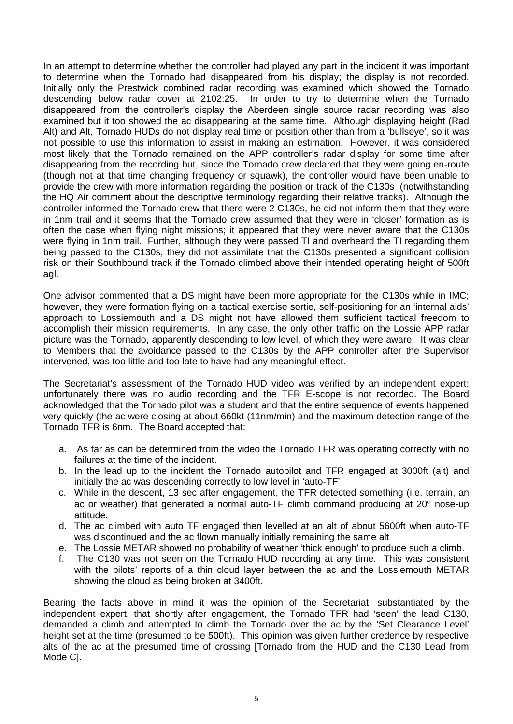In an attempt to determine whether the controller had played any part in the incident it was important to determine when the Tornado had disappeared from his display; the display is not recorded. Initially only the Prestwick combined radar recording was examined which showed the Tornado descending below radar cover at 2102:25. In order to try to determine when the Tornado disappeared from the controller's display the Aberdeen single source radar recording was also examined but it too showed the ac disappearing at the same time. Although displaying height (Rad Alt) and Alt, Tornado HUDs do not display real time or position other than from a 'bullseye', so it was not possible to use this information to assist in making an estimation. However, it was considered most likely that the Tornado remained on the APP controller's radar display for some time after disappearing from the recording but, since the Tornado crew declared that they were going en-route (though not at that time changing frequency or squawk), the controller would have been unable to provide the crew with more information regarding the position or track of the C130s (notwithstanding the HQ Air comment about the descriptive terminology regarding their relative tracks). Although the controller informed the Tornado crew that there were 2 C130s, he did not inform them that they were in 1nm trail and it seems that the Tornado crew assumed that they were in 'closer' formation as is often the case when flying night missions; it appeared that they were never aware that the C130s were flying in 1nm trail. Further, although they were passed TI and overheard the TI regarding them being passed to the C130s, they did not assimilate that the C130s presented a significant collision risk on their Southbound track if the Tornado climbed above their intended operating height of 500ft agl.

One advisor commented that a DS might have been more appropriate for the C130s while in IMC; however, they were formation flying on a tactical exercise sortie, self-positioning for an 'internal aids' approach to Lossiemouth and a DS might not have allowed them sufficient tactical freedom to accomplish their mission requirements. In any case, the only other traffic on the Lossie APP radar picture was the Tornado, apparently descending to low level, of which they were aware. It was clear to Members that the avoidance passed to the C130s by the APP controller after the Supervisor intervened, was too little and too late to have had any meaningful effect.

The Secretariat's assessment of the Tornado HUD video was verified by an independent expert; unfortunately there was no audio recording and the TFR E-scope is not recorded. The Board acknowledged that the Tornado pilot was a student and that the entire sequence of events happened very quickly (the ac were closing at about 660kt (11nm/min) and the maximum detection range of the Tornado TFR is 6nm. The Board accepted that:

- a. As far as can be determined from the video the Tornado TFR was operating correctly with no failures at the time of the incident.
- b. In the lead up to the incident the Tornado autopilot and TFR engaged at 3000ft (alt) and initially the ac was descending correctly to low level in 'auto-TF'
- c. While in the descent, 13 sec after engagement, the TFR detected something (i.e. terrain, an ac or weather) that generated a normal auto-TF climb command producing at 20° nose-up attitude.
- d. The ac climbed with auto TF engaged then levelled at an alt of about 5600ft when auto-TF was discontinued and the ac flown manually initially remaining the same alt
- e. The Lossie METAR showed no probability of weather 'thick enough' to produce such a climb.
- f. The C130 was not seen on the Tornado HUD recording at any time. This was consistent with the pilots' reports of a thin cloud layer between the ac and the Lossiemouth METAR showing the cloud as being broken at 3400ft.

Bearing the facts above in mind it was the opinion of the Secretariat, substantiated by the independent expert, that shortly after engagement, the Tornado TFR had 'seen' the lead C130, demanded a climb and attempted to climb the Tornado over the ac by the 'Set Clearance Level' height set at the time (presumed to be 500ft). This opinion was given further credence by respective alts of the ac at the presumed time of crossing [Tornado from the HUD and the C130 Lead from Mode C].